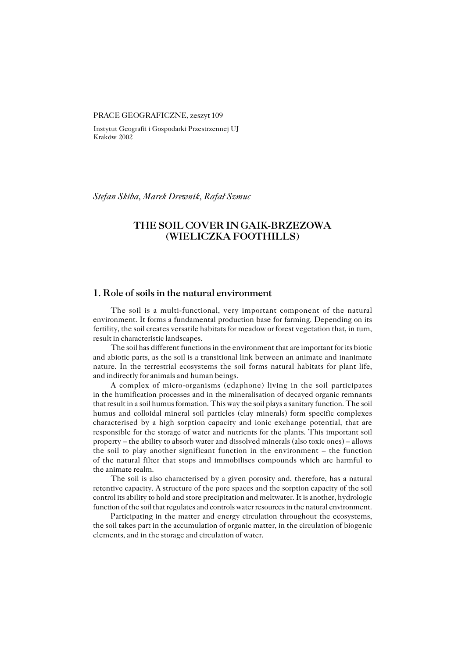#### PRACE GEOGRAFICZNE, zeszyt 109

Instytut Geografii i Gospodarki Przestrzennej UJ Kraków 2002

*Stefan Skiba, Marek Drewnik, Rafał Szmuc*

# **THE SOIL COVER IN GAIK−BRZEZOWA (WIELICZKA FOOTHILLS)**

### **1. Role of soils in the natural environment**

The soil is a multi−functional, very important component of the natural environment. It forms a fundamental production base for farming. Depending on its fertility, the soil creates versatile habitats for meadow or forest vegetation that, in turn, result in characteristic landscapes.

The soil has different functions in the environment that are important for its biotic and abiotic parts, as the soil is a transitional link between an animate and inanimate nature. In the terrestrial ecosystems the soil forms natural habitats for plant life, and indirectly for animals and human beings.

A complex of micro−organisms (edaphone) living in the soil participates in the humification processes and in the mineralisation of decayed organic remnants that result in a soil humus formation. This way the soil plays a sanitary function. The soil humus and colloidal mineral soil particles (clay minerals) form specific complexes characterised by a high sorption capacity and ionic exchange potential, that are responsible for the storage of water and nutrients for the plants. This important soil property – the ability to absorb water and dissolved minerals (also toxic ones) – allows the soil to play another significant function in the environment – the function of the natural filter that stops and immobilises compounds which are harmful to the animate realm.

The soil is also characterised by a given porosity and, therefore, has a natural retentive capacity. A structure of the pore spaces and the sorption capacity of the soil control its ability to hold and store precipitation and meltwater. It is another, hydrologic function of the soil that regulates and controls water resources in the natural environment.

Participating in the matter and energy circulation throughout the ecosystems, the soil takes part in the accumulation of organic matter, in the circulation of biogenic elements, and in the storage and circulation of water.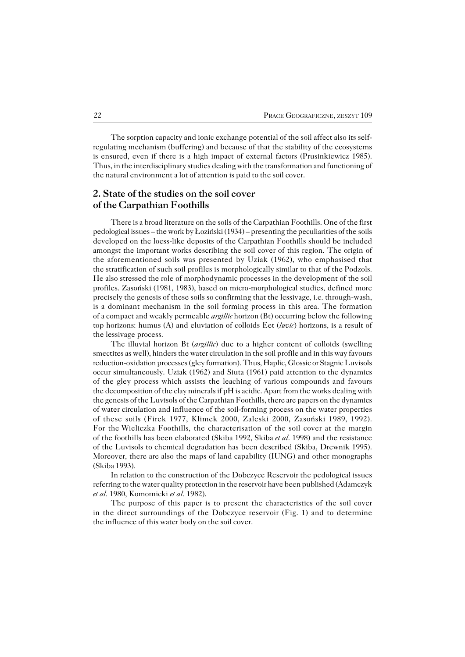The sorption capacity and ionic exchange potential of the soil affect also its self− regulating mechanism (buffering) and because of that the stability of the ecosystems is ensured, even if there is a high impact of external factors (Prusinkiewicz 1985). Thus, in the interdisciplinary studies dealing with the transformation and functioning of the natural environment a lot of attention is paid to the soil cover.

## **2. State of the studies on the soil cover of the Carpathian Foothills**

There is a broad literature on the soils of the Carpathian Foothills. One of the first pedological issues – the work by Łoziński  $(1934)$  – presenting the peculiarities of the soils developed on the loess−like deposits of the Carpathian Foothills should be included amongst the important works describing the soil cover of this region. The origin of the aforementioned soils was presented by Uziak (1962), who emphasised that the stratification of such soil profiles is morphologically similar to that of the Podzols. He also stressed the role of morphodynamic processes in the development of the soil profiles. Zasoński (1981, 1983), based on micro−morphological studies, defined more precisely the genesis of these soils so confirming that the lessivage, i.e. through−wash, is a dominant mechanism in the soil forming process in this area. The formation of a compact and weakly permeable *argillic* horizon (Bt) occurring below the following top horizons: humus (A) and eluviation of colloids Eet (*luvic*) horizons, is a result of the lessivage process.

The illuvial horizon Bt (*argillic*) due to a higher content of colloids (swelling smectites as well), hinders the water circulation in the soil profile and in this way favours reduction−oxidation processes (gley formation). Thus, Haplic, Glossic or Stagnic Luvisols occur simultaneously. Uziak (1962) and Siuta (1961) paid attention to the dynamics of the gley process which assists the leaching of various compounds and favours the decomposition of the clay minerals if pH is acidic. Apart from the works dealing with the genesis of the Luvisols of the Carpathian Foothills, there are papers on the dynamics of water circulation and influence of the soil−forming process on the water properties of these soils (Firek 1977, Klimek 2000, Zaleski 2000, Zasoński 1989, 1992). For the Wieliczka Foothills, the characterisation of the soil cover at the margin of the foothills has been elaborated (Skiba 1992, Skiba *et al*. 1998) and the resistance of the Luvisols to chemical degradation has been described (Skiba, Drewnik 1995). Moreover, there are also the maps of land capability (IUNG) and other monographs (Skiba 1993).

In relation to the construction of the Dobczyce Reservoir the pedological issues referring to the water quality protection in the reservoir have been published (Adamczyk *et al.* 1980, Komornicki *et al.* 1982).

The purpose of this paper is to present the characteristics of the soil cover in the direct surroundings of the Dobczyce reservoir (Fig. 1) and to determine the influence of this water body on the soil cover.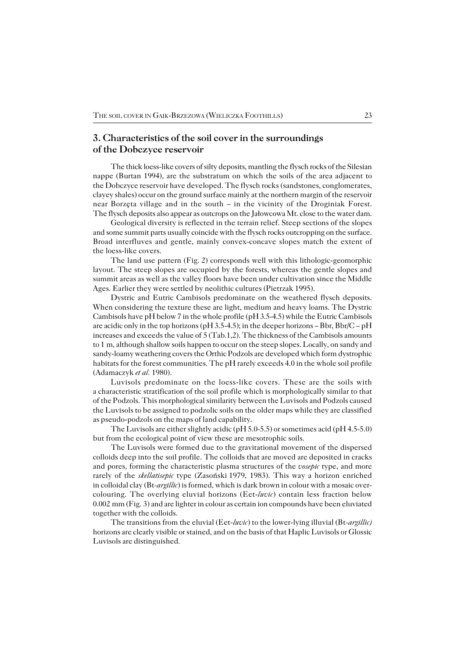## **3. Characteristics of the soil cover in the surroundings of the Dobczyce reservoir**

The thick loess−like covers of silty deposits, mantling the flysch rocks of the Silesian nappe (Burtan 1994), are the substratum on which the soils of the area adjacent to the Dobczyce reservoir have developed. The flysch rocks (sandstones, conglomerates, clayey shales) occur on the ground surface mainly at the northern margin of the reservoir near Borzęta village and in the south – in the vicinity of the Droginiak Forest. The flysch deposits also appear as outcrops on the Jałowcowa Mt. close to the water dam.

Geological diversity is reflected in the terrain relief. Steep sections of the slopes and some summit parts usually coincide with the flysch rocks outcropping on the surface. Broad interfluves and gentle, mainly convex−concave slopes match the extent of the loess−like covers.

The land use pattern (Fig. 2) corresponds well with this lithologic-geomorphic layout. The steep slopes are occupied by the forests, whereas the gentle slopes and summit areas as well as the valley floors have been under cultivation since the Middle Ages. Earlier they were settled by neolithic cultures (Pietrzak 1995).

Dystric and Eutric Cambisols predominate on the weathered flysch deposits. When considering the texture these are light, medium and heavy loams. The Dystric Cambisols have pH below 7 in the whole profile (pH 3.5−4.5) while the Eutric Cambisols are acidic only in the top horizons (pH 3.5–4.5); in the deeper horizons – Bbr, Bbr/C – pH increases and exceeds the value of  $5$  (Tab.1,2). The thickness of the Cambisols amounts to 1m, although shallow soils happen to occur on the steep slopes. Locally, on sandy and sandy−loamy weathering covers the Orthic Podzols are developed which form dystrophic habitats for the forest communities. The pH rarely exceeds 4.0 in the whole soil profile (Adamaczyk *et al.* 1980).

Luvisols predominate on the loess−like covers. These are the soils with a characteristic stratification of the soil profile which is morphologically similar to that of the Podzols. This morphological similarity between the Luvisols and Podzols caused the Luvisols to be assigned to podzolic soils on the older maps while they are classified as pseudo−podzols on the maps of land capability.

The Luvisols are either slightly acidic (pH 5.0−5.5) or sometimes acid (pH 4.5−5.0) but from the ecological point of view these are mesotrophic soils.

The Luvisols were formed due to the gravitational movement of the dispersed colloids deep into the soil profile. The colloids that are moved are deposited in cracks and pores, forming the characteristic plasma structures of the *vosepic* type, and more rarely of the *skellatisepic* type (Zasoński 1979, 1983). This way a horizon enriched in colloidal clay (Bt*−argillic*) is formed, which is dark brown in colour with a mosaic over− colouring. The overlying eluvial horizons (Eet−*luvic*) contain less fraction below 0.002mm (Fig.3) and are lighter in colour as certain ion compounds have been eluviated together with the colloids.

The transitions from the eluvial (Eet−*luvic*) to the lower−lying illuvial (Bt*−argillic)* horizons are clearly visible or stained, and on the basis of that Haplic Luvisols or Glossic Luvisols are distinguished.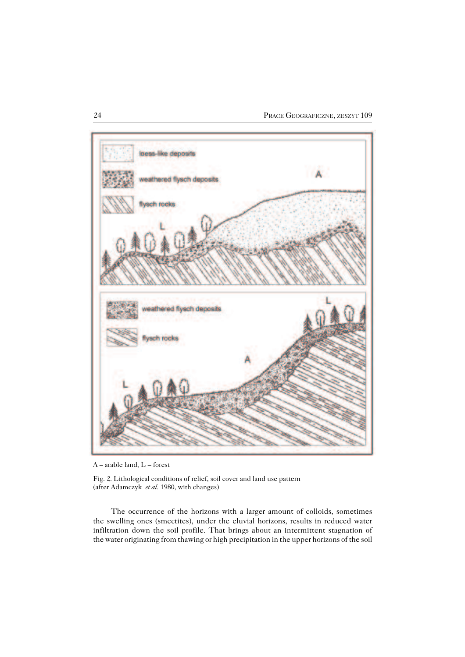

A – arable land, L – forest

Fig. 2. Lithological conditions of relief, soil cover and land use pattern (after Adamczyk *et al.* 1980, with changes)

The occurrence of the horizons with a larger amount of colloids, sometimes the swelling ones (smectites), under the eluvial horizons, results in reduced water infiltration down the soil profile. That brings about an intermittent stagnation of the water originating from thawing or high precipitation in the upper horizons of the soil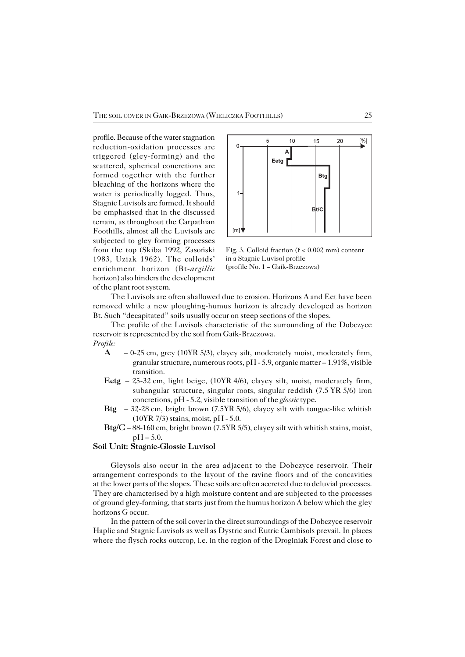profile. Because of the water stagnation reduction−oxidation processes are triggered (gley−forming) and the scattered, spherical concretions are formed together with the further bleaching of the horizons where the water is periodically logged. Thus, Stagnic Luvisols are formed. It should be emphasised that in the discussed terrain, as throughout the Carpathian Foothills, almost all the Luvisols are subjected to gley forming processes from the top (Skiba 1992, Zasoński 1983, Uziak 1962). The colloids' enrichment horizon (Bt−*argillic* horizon) also hinders the development of the plant root system.



Fig. 3. Colloid fraction (ř < 0.002 mm) content in a Stagnic Luvisol profile (profile No. 1 – Gaik−Brzezowa)

The Luvisols are often shallowed due to erosion. Horizons A and Eet have been removed while a new ploughing−humus horizon is already developed as horizon Bt. Such "decapitated" soils usually occur on steep sections of the slopes.

The profile of the Luvisols characteristic of the surrounding of the Dobczyce reservoir is represented by the soil from Gaik−Brzezowa. *Profile:*

- **A** 0−25cm, grey (10YR5/3), clayey silt, moderately moist, moderately firm, granular structure, numerous roots, pH − 5.9, organic matter – 1.91%, visible transition.
- **Eetg** 25−32cm, light beige, (10YR4/6), clayey silt, moist, moderately firm, subangular structure, singular roots, singular reddish (7.5 YR 5/6) iron concretions, pH − 5.2, visible transition of the *glossic* type.
- **Btg** 32−28cm, bright brown (7.5YR5/6), clayey silt with tongue−like whitish (10YR7/3) stains, moist, pH − 5.0.
- **Btg/C**  88−160 cm, bright brown (7.5YR 5/5), clayey silt with whitish stains, moist,  $pH - 5.0$ .

#### **Soil Unit: Stagnic−Glossic Luvisol**

Gleysols also occur in the area adjacent to the Dobczyce reservoir. Their arrangement corresponds to the layout of the ravine floors and of the concavities at the lower parts of the slopes. These soils are often accreted due to deluvial processes. They are characterised by a high moisture content and are subjected to the processes of ground gley−forming, that starts just from the humus horizon A below which the gley horizons G occur.

In the pattern of the soil cover in the direct surroundings of the Dobczyce reservoir Haplic and Stagnic Luvisols as well as Dystric and Eutric Cambisols prevail. In places where the flysch rocks outcrop, i.e. in the region of the Droginiak Forest and close to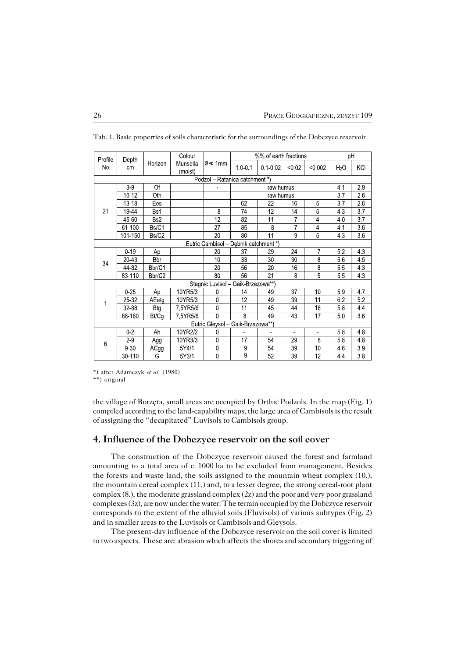| Profile                               | Depth<br>cm | Horizon     | Colour              | lØ≪ 1mm                            | %% of earth fractions |                |                |                 | рH               |                 |  |  |
|---------------------------------------|-------------|-------------|---------------------|------------------------------------|-----------------------|----------------|----------------|-----------------|------------------|-----------------|--|--|
| No.                                   |             |             | Munsella<br>(moist) |                                    | 1001                  | $0.1 - 0.02$   | < 0.02         | < 0.002         | H <sub>2</sub> O | KCI             |  |  |
| Podzol - Ratanica catchment *)        |             |             |                     |                                    |                       |                |                |                 |                  |                 |  |  |
| 21                                    | $3-9$       | Of          |                     |                                    | raw humus             |                |                | 4.1             | 2.9              |                 |  |  |
|                                       | 10-12       | Ofh         |                     | ä,                                 | raw humus             |                |                | 3.7             | 26               |                 |  |  |
|                                       | 13-18       | Ees         |                     | ä,                                 | 62                    | 22             | 16             | 5               | 3.7              | 26              |  |  |
|                                       | 19-44       | Bs1         |                     | 8                                  | 74                    | 12             | 14             | 5               | 43               | 3.7             |  |  |
|                                       | 45-60       | Bs2         |                     | 12                                 | 82                    | 11             | 7              | $\overline{4}$  | 4.0              | 3.7             |  |  |
|                                       | 61-100      | Bs/C1       |                     | 27                                 | 85                    | 8              | $\overline{7}$ | $\overline{4}$  | 4.1              | 3.6             |  |  |
|                                       | 101-150     | Bs/C2       |                     | 20                                 | 80                    | 11             | 9              | $\overline{5}$  | 4.3              | 3.6             |  |  |
| Eutric Cambisol - Debnik catchment *) |             |             |                     |                                    |                       |                |                |                 |                  |                 |  |  |
| 34                                    | $0 - 19$    | Ap          |                     | 20                                 | 37                    | 29             | 24             | $\overline{7}$  | 5.2              | 43              |  |  |
|                                       | 20-43       | <b>B</b> br |                     | 10                                 | 33                    | 30             | 30             | 8               | 5.6              | 45              |  |  |
|                                       | 44-82       | Bbr/C1      |                     | 20                                 | 56                    | 20             | 16             | 8               | 55               | 43              |  |  |
|                                       | 83-110      | Bbr/C2      |                     | 80                                 | 56                    | 21             | 8              | 5               | 5.5              | 4.3             |  |  |
|                                       |             |             |                     | Stagnic Luvisol - Gaik-Brzezowa**) |                       |                |                |                 |                  |                 |  |  |
| 1                                     | 0.25        | Ap          | 10YR5/3             | 0                                  | 14                    | 49             | 37             | 10              | 5.9              | 4.7             |  |  |
|                                       | 25 32       | AEetg       | 10YR5/3             | 0                                  | 12                    | 49             | 39             | 11              | 62               | 5.2             |  |  |
|                                       | 32-88       | <b>Btg</b>  | 7,5YR5/6            | 0                                  | 11                    | 45             | 44             | 18              | 5.8              | 4.4             |  |  |
|                                       | 88 160      | Bt/Cg       | 7.5YR5/6            | 0                                  | 8                     | 49             | 43             | 17              | 50               | 36              |  |  |
| Eutric Gleysol - Gaik-Brzezowa**)     |             |             |                     |                                    |                       |                |                |                 |                  |                 |  |  |
| 6                                     | 0.2         | Ah          | 10YR2/2             | 0                                  |                       | $\blacksquare$ | $\blacksquare$ | $\blacksquare$  | 5.8              | 48              |  |  |
|                                       | $2-9$       | Agg         | 10YR3/3             | 0                                  | 17                    | 54             | 29             | 8               | 5.8              | 4.8             |  |  |
|                                       | 9.30        | ACgg        | 5Y4/1               | 0                                  | 9                     | 54             | 39             | 10              | 46               | 3.9             |  |  |
|                                       | 30-110      | G           | 5Y3/1               | 0                                  | 9                     | 52             | 39             | $\overline{12}$ | 44               | $\overline{38}$ |  |  |

Tab. 1. Basic properties of soils characteristic for the surroundings of the Dobczyce reservoir

\*) after Adamczyk *et al.* (1980)

\*\*) original

the village of Borzęta, small areas are occupied by Orthic Podzols. In the map (Fig.1) compiled according to the land−capability maps, the large area of Cambisols is the result of assigning the "decapitated" Luvisols to Cambisols group.

### **4. Influence of the Dobczyce reservoir on the soil cover**

The construction of the Dobczyce reservoir caused the forest and farmland amounting to a total area of c. 1000 ha to be excluded from management. Besides the forests and waste land, the soils assigned to the mountain wheat complex (10.), the mountain cereal complex (11.) and, to a lesser degree, the strong cereal−root plant complex (8.), the moderate grassland complex (2z) and the poor and very poor grassland complexes (3z), are now under the water. The terrain occupied by the Dobczyce reservoir corresponds to the extent of the alluvial soils (Fluvisols) of various subtypes (Fig.2) and in smaller areas to the Luvisols or Cambisols and Gleysols.

The present−day influence of the Dobczyce reservoir on the soil cover is limited to two aspects. These are: abrasion which affects the shores and secondary triggering of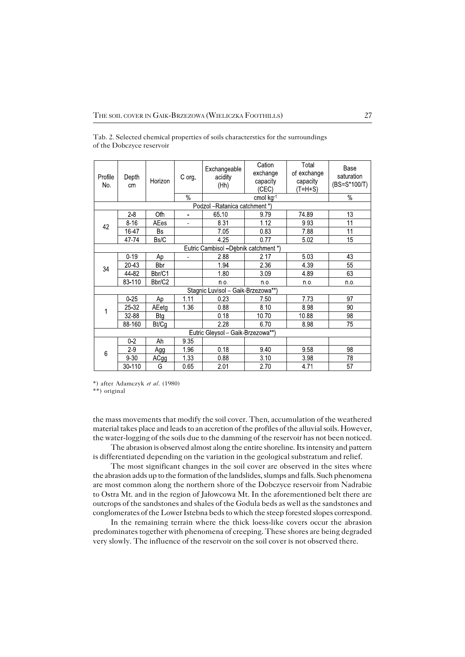| Profile<br>No.                       | Depth<br>cm | Horizon    | C org          | Exchangeable<br>acidity<br>(Hh)   | Cation<br>exchange<br>capacity<br>(CEC)<br>cmol kg-1 | Total<br>of exchange<br>capacity<br>(T=H+S) | Base<br>saturation<br>(BS=S*100/T) |  |  |  |
|--------------------------------------|-------------|------------|----------------|-----------------------------------|------------------------------------------------------|---------------------------------------------|------------------------------------|--|--|--|
|                                      |             |            | %              |                                   | %                                                    |                                             |                                    |  |  |  |
| Podzol - Ratanica catchment *)       |             |            |                |                                   |                                                      |                                             |                                    |  |  |  |
| 42                                   | $2-8$       | Ofh        | ä.             | 65.10                             | 979                                                  | 74 89                                       | 13                                 |  |  |  |
|                                      | $8 - 16$    | AEes       | $\blacksquare$ | 831                               | 1 1 2                                                | 9.93                                        | 11                                 |  |  |  |
|                                      | 16-47       | Bs         |                | 7.05                              | 083                                                  | 788                                         | 11                                 |  |  |  |
|                                      | 47-74       | Bs/C       |                | 4 25                              | 0.77                                                 | 502                                         | 15 <sup>2</sup>                    |  |  |  |
| Eutric Cambisol -Debnik catchment *) |             |            |                |                                   |                                                      |                                             |                                    |  |  |  |
| 34                                   | $0 - 19$    | Аp         |                | 288                               | 2.17                                                 | 5.03                                        | 43                                 |  |  |  |
|                                      | 20 43       | Bbr        |                | 194                               | 2.36                                                 | 4 3 9                                       | 55                                 |  |  |  |
|                                      | 44-82       | Bbr/C1     |                | 180                               | 3.09                                                 | 489                                         | 63                                 |  |  |  |
|                                      | 83-110      | Bbr/C2     |                | n o                               | n o                                                  | n o                                         | n o                                |  |  |  |
| Stagnic Luvisol - Gaik-Brzezowa**)   |             |            |                |                                   |                                                      |                                             |                                    |  |  |  |
| 1                                    | $0 - 25$    | Ap         | 1 1 1          | 023                               | 7.50                                                 | 7.73                                        | 97                                 |  |  |  |
|                                      | 25-32       | AEetg      | 1 3 6          | 0.88                              | 8.10                                                 | 8.98                                        | 90                                 |  |  |  |
|                                      | 32-88       | <b>Btg</b> |                | 0.18                              | 10.70                                                | 10.88                                       | 98                                 |  |  |  |
|                                      | 88-160      | Bt/Cg      |                | 228                               | 6.70                                                 | 8.98                                        | 75                                 |  |  |  |
|                                      |             |            |                | Eutric Gleysol - Gaik-Brzezowa**) |                                                      |                                             |                                    |  |  |  |
| 6                                    | $0 - 2$     | Ah         | 9 3 5          |                                   |                                                      |                                             |                                    |  |  |  |
|                                      | $2-9$       | Agg        | 196            | 0.18                              | 940                                                  | 9.58                                        | 98                                 |  |  |  |
|                                      | $9 - 30$    | ACgg       | 1 3 3          | 0.88                              | 3.10                                                 | 3.98                                        | 78                                 |  |  |  |
|                                      | 30-110      | G          | 0.65           | 2.01                              | 2.70                                                 | 471                                         | 57                                 |  |  |  |

Tab. 2. Selected chemical properties of soils characterstics for the surroundings of the Dobczyce reservoir

\*) after Adamczyk *et al*. (1980)

\*\*) original

the mass movements that modify the soil cover. Then, accumulation of the weathered material takes place and leads to an accretion of the profiles of the alluvial soils. However, the water−logging of the soils due to the damming of the reservoir has not been noticed.

The abrasion is observed almost along the entire shoreline. Its intensity and pattern is differentiated depending on the variation in the geological substratum and relief.

The most significant changes in the soil cover are observed in the sites where the abrasion adds up to the formation of the landslides, slumps and falls. Such phenomena are most common along the northern shore of the Dobczyce reservoir from Nadrabie to Ostra Mt. and in the region of Jałowcowa Mt. In the aforementioned belt there are outcrops of the sandstones and shales of the Godula beds as well as the sandstones and conglomerates of the Lower Istebna beds to which the steep forested slopes correspond.

In the remaining terrain where the thick loess−like covers occur the abrasion predominates together with phenomena of creeping. These shores are being degraded very slowly. The influence of the reservoir on the soil cover is not observed there.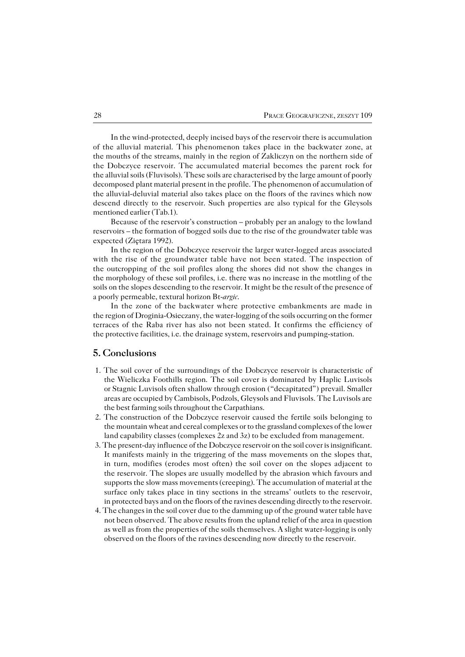In the wind−protected, deeply incised bays of the reservoir there is accumulation of the alluvial material. This phenomenon takes place in the backwater zone, at the mouths of the streams, mainly in the region of Zakliczyn on the northern side of the Dobczyce reservoir. The accumulated material becomes the parent rock for the alluvial soils (Fluvisols). These soils are characterised by the large amount of poorly decomposed plant material present in the profile. The phenomenon of accumulation of the alluvial−deluvial material also takes place on the floors of the ravines which now descend directly to the reservoir. Such properties are also typical for the Gleysols mentioned earlier (Tab.1).

Because of the reservoir's construction – probably per an analogy to the lowland reservoirs – the formation of bogged soils due to the rise of the groundwater table was expected (Ziętara 1992).

In the region of the Dobczyce reservoir the larger water−logged areas associated with the rise of the groundwater table have not been stated. The inspection of the outcropping of the soil profiles along the shores did not show the changes in the morphology of these soil profiles, i.e. there was no increase in the mottling of the soils on the slopes descending to the reservoir. It might be the result of the presence of a poorly permeable, textural horizon Bt−*argic*.

In the zone of the backwater where protective embankments are made in the region of Droginia−Osieczany, the water−logging of the soils occurring on the former terraces of the Raba river has also not been stated. It confirms the efficiency of the protective facilities, i.e. the drainage system, reservoirs and pumping−station.

### **5. Conclusions**

- 1. The soil cover of the surroundings of the Dobczyce reservoir is characteristic of the Wieliczka Foothills region. The soil cover is dominated by Haplic Luvisols or Stagnic Luvisols often shallow through erosion ("decapitated") prevail. Smaller areas are occupied by Cambisols, Podzols, Gleysols and Fluvisols. The Luvisols are the best farming soils throughout the Carpathians.
- 2. The construction of the Dobczyce reservoir caused the fertile soils belonging to the mountain wheat and cereal complexes or to the grassland complexes of the lower land capability classes (complexes 2z and 3z) to be excluded from management.
- 3. The present−day influence of the Dobczyce reservoir on the soil cover is insignificant. It manifests mainly in the triggering of the mass movements on the slopes that, in turn, modifies (erodes most often) the soil cover on the slopes adjacent to the reservoir. The slopes are usually modelled by the abrasion which favours and supports the slow mass movements (creeping). The accumulation of material at the surface only takes place in tiny sections in the streams' outlets to the reservoir, in protected bays and on the floors of the ravines descending directly to the reservoir.
- 4. The changes in the soil cover due to the damming up of the ground water table have not been observed. The above results from the upland relief of the area in question as well as from the properties of the soils themselves. A slight water−logging is only observed on the floors of the ravines descending now directly to the reservoir.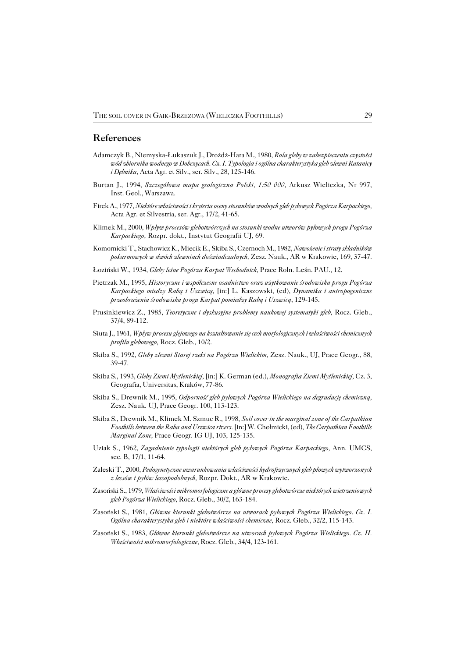#### **References**

- Adamczyk B., Niemyska−Łukaszuk J., Drożdż−Hara M., 1980, *Rola gleby w zabezpieczeniu czystości wód zbiornika wodnego w Dobczycach. Cz. I. Typologia i ogólna charakterystyka gleb zlewni Ratanicy i Dębnika,* Acta Agr. et Silv., ser. Silv., 28, 125−146.
- Burtan J., 1994, *Szczegółowa mapa geologiczna Polski, 1:50 000,* Arkusz Wieliczka, Nr 997, Inst. Geol., Warszawa.
- Firek A., 1977, *Niektóre właściwości i kryteria oceny stosunków wodnych gleb pyłowych Pogórza Karpackiego,* Acta Agr. et Silvestria, ser. Agr., 17/2, 41−65.
- Klimek M., 2000, *Wpływ procesów glebotwórczych na stosunki wodne utworów pyłowych progu Pogórza Karpackiego,* Rozpr. dokt., Instytut Geografii UJ, 69.
- Komornicki T., Stachowicz K., Miecik E., Skiba S., Czernoch M., 1982, *Nawożenie i straty składników pokarmowych w dwóch zlewniach doświadczalnych,* Zesz. Nauk., AR w Krakowie, 169, 37−47.
- Łoziński W., 1934, *Gleby leśne Pogórza Karpat Wschodnich,* Prace Roln. Leśn. PAU., 12.
- Pietrzak M., 1995, *Historyczne i współczesne osadnictwo oraz użytkowanie środowiska progu Pogórza Karpackiego miedzy Rabą i Uszwicą,* [in:] L. Kaszowski, (ed), *Dynamika i antropogeniczne przeobrażenia środowiska progu Karpat pomiedzy Rabą i Uszwicą*, 129−145.
- Prusinkiewicz Z., 1985, *Teoretyczne i dyskusyjne problemy naukowej systematyki gleb,* Rocz. Gleb., 37/4, 89−112.
- Siuta J., 1961, *Wpływ procesu glejowego na kształtowanie się cech morfologicznych i właściwości chemicznych profilu glebowego,* Rocz. Gleb., 10/2.
- Skiba S., 1992, *Gleby zlewni Starej rzeki na Pogórzu Wielickim,* Zesz. Nauk., UJ, Prace Geogr., 88, 39−47.
- Skiba S., 1993, *Gleby Ziemi Myślenickiej,* [in:] K. German (ed.), *Monografia Ziemi Myślenickiej,* Cz. 3, Geografia, Universitas, Kraków, 77−86.
- Skiba S., Drewnik M., 1995, *Odporność gleb pyłowych Pogórza Wielickiego na degradację chemiczną,* Zesz. Nauk. UJ, Prace Geogr. 100, 113−123.
- Skiba S., Drewnik M., Klimek M. Szmuc R., 1998, *Soil cover in the marginal zone of the Carpathian Foothills between the Raba and Uszwica rivers.* [in:] W. Chełmicki, (ed), *The Carpathian Foothills Marginal Zone,* Prace Geogr. IG UJ, 103, 125−135.
- Uziak S., 1962, *Zagadnienie typologii niektórych gleb pyłowych Pogórza Karpackiego,* Ann. UMCS, sec. B, 17/1, 11−64.
- Zaleski T., 2000, *Pedogenetyczne uwarunkowania właściwości hydrofizycznych gleb płowych wytworzonych z lessów i pyłów lessopodobnych,* Rozpr. Dokt., AR w Krakowie.
- Zasoński S., 1979, *Właściwości mikromorfologiczne a główne procesy glebotwórcze niektórych wietrzeniowych gleb Pogórza Wielickiego,* Rocz. Gleb., 30/2, 163−184.
- Zasoński S., 1981, *Główne kierunki glebotwórcze na utworach pyłowych Pogórza Wielickiego. Cz. I. Ogólna charakterystyka gleb i niektóre właściwości chemiczne,* Rocz. Gleb., 32/2, 115−143.
- Zasoński S., 1983, *Główne kierunki glebotwórcze na utworach pyłowych Pogórza Wielickiego. Cz. II. Właściwości mikromorfologiczne,* Rocz. Gleb., 34/4, 123−161.